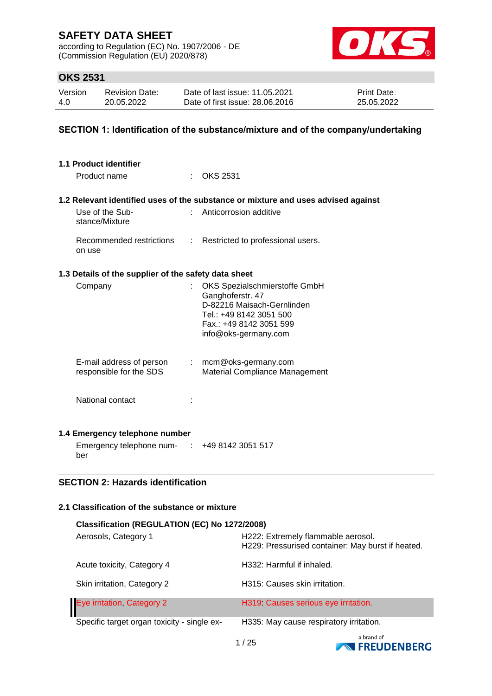according to Regulation (EC) No. 1907/2006 - DE (Commission Regulation (EU) 2020/878)



## **OKS 2531**

| Version | <b>Revision Date:</b> | Date of last issue: 11.05.2021  | <b>Print Date:</b> |
|---------|-----------------------|---------------------------------|--------------------|
| 4.0     | 20.05.2022            | Date of first issue: 28,06,2016 | 25.05.2022         |

### **SECTION 1: Identification of the substance/mixture and of the company/undertaking**

| 1.1 Product identifier                               |                             |                                                                                   |
|------------------------------------------------------|-----------------------------|-----------------------------------------------------------------------------------|
| Product name                                         |                             | : OKS 2531                                                                        |
|                                                      |                             |                                                                                   |
|                                                      |                             | 1.2 Relevant identified uses of the substance or mixture and uses advised against |
| Use of the Sub-<br>stance/Mixture                    |                             | Anticorrosion additive                                                            |
| Recommended restrictions<br>on use                   | $\mathcal{L}^{\mathcal{L}}$ | Restricted to professional users.                                                 |
| 1.3 Details of the supplier of the safety data sheet |                             |                                                                                   |
| Company                                              |                             | OKS Spezialschmierstoffe GmbH                                                     |
|                                                      |                             | Ganghoferstr. 47                                                                  |
|                                                      |                             | D-82216 Maisach-Gernlinden<br>Tel.: +49 8142 3051 500                             |
|                                                      |                             | Fax.: +49 8142 3051 599                                                           |
|                                                      |                             | info@oks-germany.com                                                              |
|                                                      |                             |                                                                                   |
| E-mail address of person                             |                             | $:$ mcm@oks-germany.com                                                           |
| responsible for the SDS                              |                             | <b>Material Compliance Management</b>                                             |
|                                                      |                             |                                                                                   |
| National contact                                     |                             |                                                                                   |
|                                                      |                             |                                                                                   |
| 1.4 Emergency telephone number                       |                             |                                                                                   |
| Emergency telephone num- : +49 8142 3051 517<br>ber  |                             |                                                                                   |
|                                                      |                             |                                                                                   |
| <b>SECTION 2: Hazards identification</b>             |                             |                                                                                   |
|                                                      |                             |                                                                                   |
| 2.1 Classification of the substance or mixture       |                             |                                                                                   |
| Classification (REGULATION (EC) No 1272/2008)        |                             |                                                                                   |
| Aerosols, Category 1                                 |                             | H222: Extremely flammable aerosol.                                                |
|                                                      |                             | H229: Pressurised container: May burst if heated.                                 |
|                                                      |                             |                                                                                   |

| Skin irritation, Category 2                 | H315: Causes skin irritation.           |
|---------------------------------------------|-----------------------------------------|
| Eye irritation, Category 2                  | H319 Causes serious eye irritation.     |
| Specific target organ toxicity - single ex- | H335: May cause respiratory irritation. |
|                                             | $\sim$ $\sim$ $\sim$ $\sim$             |

Acute toxicity, Category 4 H332: Harmful if inhaled.

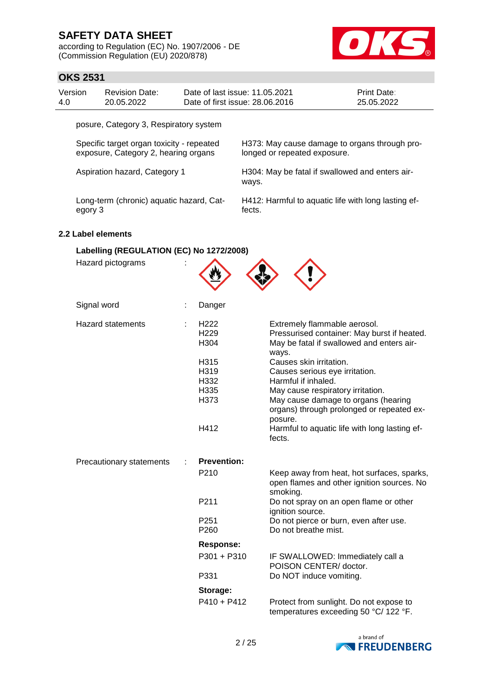according to Regulation (EC) No. 1907/2006 - DE (Commission Regulation (EU) 2020/878)



## **OKS 2531**

| Version | Revision Date: | Date of last issue: 11.05.2021  | <b>Print Date:</b> |
|---------|----------------|---------------------------------|--------------------|
| 4.0     | 20.05.2022     | Date of first issue: 28,06,2016 | 25.05.2022         |

posure, Category 3, Respiratory system

Specific target organ toxicity - repeated exposure, Category 2, hearing organs

H373: May cause damage to organs through prolonged or repeated exposure.

Aspiration hazard, Category 1 H304: May be fatal if swallowed and enters airways.

Long-term (chronic) aquatic hazard, Category 3

H412: Harmful to aquatic life with long lasting effects.

### **2.2 Label elements**

## **Labelling (REGULATION (EC) No 1272/2008)**

Hazard pictograms :

| $\sim$ $\sim$ $\sim$ $\sim$ $\sim$ $\sim$ $\sim$ $\sim$ |  |
|---------------------------------------------------------|--|
|                                                         |  |
|                                                         |  |

| Signal word              | Danger                                       |                                                                                                                                   |
|--------------------------|----------------------------------------------|-----------------------------------------------------------------------------------------------------------------------------------|
| <b>Hazard statements</b> | H <sub>222</sub><br>H <sub>229</sub><br>H304 | Extremely flammable aerosol.<br>Pressurised container: May burst if heated.<br>May be fatal if swallowed and enters air-<br>ways. |
|                          | H315                                         | Causes skin irritation.                                                                                                           |
|                          | H319                                         | Causes serious eye irritation.                                                                                                    |
|                          | H332                                         | Harmful if inhaled.                                                                                                               |
|                          | H335                                         | May cause respiratory irritation.                                                                                                 |
|                          | H373                                         | May cause damage to organs (hearing<br>organs) through prolonged or repeated ex-<br>posure.                                       |
|                          | H412                                         | Harmful to aquatic life with long lasting ef-<br>fects.                                                                           |
|                          |                                              |                                                                                                                                   |
| Precautionary statements | <b>Prevention:</b>                           |                                                                                                                                   |
|                          | P <sub>210</sub>                             | Keep away from heat, hot surfaces, sparks,<br>open flames and other ignition sources. No                                          |
|                          | P211                                         | smoking.<br>Do not spray on an open flame or other                                                                                |
|                          | P <sub>251</sub><br>P <sub>260</sub>         | ignition source.<br>Do not pierce or burn, even after use.<br>Do not breathe mist.                                                |
|                          | <b>Response:</b>                             |                                                                                                                                   |
|                          | P301 + P310                                  | IF SWALLOWED: Immediately call a                                                                                                  |
|                          | P331                                         | POISON CENTER/ doctor.<br>Do NOT induce vomiting.                                                                                 |
|                          | Storage:                                     |                                                                                                                                   |

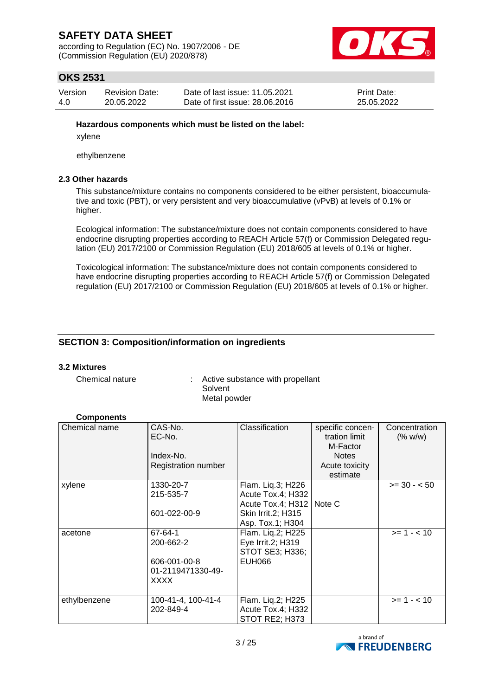according to Regulation (EC) No. 1907/2006 - DE (Commission Regulation (EU) 2020/878)



## **OKS 2531**

| Version | <b>Revision Date:</b> | Date of last issue: 11.05.2021  | Print Date: |
|---------|-----------------------|---------------------------------|-------------|
| 4.0     | 20.05.2022            | Date of first issue: 28,06,2016 | 25.05.2022  |

### **Hazardous components which must be listed on the label:**

xylene

ethylbenzene

### **2.3 Other hazards**

This substance/mixture contains no components considered to be either persistent, bioaccumulative and toxic (PBT), or very persistent and very bioaccumulative (vPvB) at levels of 0.1% or higher.

Ecological information: The substance/mixture does not contain components considered to have endocrine disrupting properties according to REACH Article 57(f) or Commission Delegated regulation (EU) 2017/2100 or Commission Regulation (EU) 2018/605 at levels of 0.1% or higher.

Toxicological information: The substance/mixture does not contain components considered to have endocrine disrupting properties according to REACH Article 57(f) or Commission Delegated regulation (EU) 2017/2100 or Commission Regulation (EU) 2018/605 at levels of 0.1% or higher.

### **SECTION 3: Composition/information on ingredients**

### **3.2 Mixtures**

Chemical nature : Active substance with propellant Solvent Metal powder

### **Components**

| Chemical name | CAS-No.<br>EC-No.<br>Index-No.<br>Registration number | Classification                                   | specific concen-<br>tration limit<br>M-Factor<br><b>Notes</b><br>Acute toxicity<br>estimate | Concentration<br>(% w/w) |
|---------------|-------------------------------------------------------|--------------------------------------------------|---------------------------------------------------------------------------------------------|--------------------------|
| xylene        | 1330-20-7                                             | Flam. Liq.3; H226                                |                                                                                             | $>= 30 - 50$             |
|               | 215-535-7                                             | Acute Tox.4; H332                                |                                                                                             |                          |
|               | 601-022-00-9                                          | Acute Tox.4; H312   Note C<br>Skin Irrit.2; H315 |                                                                                             |                          |
|               |                                                       | Asp. Tox.1; H304                                 |                                                                                             |                          |
| acetone       | 67-64-1                                               | Flam. Liq.2; H225                                |                                                                                             | $>= 1 - < 10$            |
|               | 200-662-2                                             | Eye Irrit.2; H319<br>STOT SE3; H336;             |                                                                                             |                          |
|               | 606-001-00-8                                          | <b>EUH066</b>                                    |                                                                                             |                          |
|               | 01-2119471330-49-<br>XXXX                             |                                                  |                                                                                             |                          |
|               |                                                       |                                                  |                                                                                             |                          |
| ethylbenzene  | 100-41-4, 100-41-4                                    | Flam. Lig.2; H225                                |                                                                                             | $>= 1 - < 10$            |
|               | 202-849-4                                             | Acute Tox.4; H332                                |                                                                                             |                          |
|               |                                                       | STOT RE2; H373                                   |                                                                                             |                          |

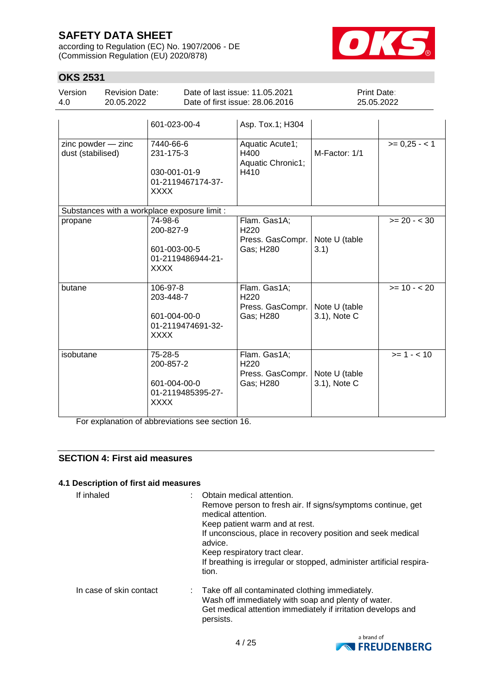according to Regulation (EC) No. 1907/2006 - DE (Commission Regulation (EU) 2020/878)



# **OKS 2531**

| UNƏ ZƏJI                                |                                     |                                                                            |                                                                   |                               |               |
|-----------------------------------------|-------------------------------------|----------------------------------------------------------------------------|-------------------------------------------------------------------|-------------------------------|---------------|
| Version<br>4.0                          | <b>Revision Date:</b><br>20.05.2022 |                                                                            | Date of last issue: 11.05.2021<br>Date of first issue: 28.06.2016 | Print Date:<br>25.05.2022     |               |
|                                         |                                     | 601-023-00-4                                                               | Asp. Tox.1; H304                                                  |                               |               |
| zinc powder - zinc<br>dust (stabilised) |                                     | 7440-66-6<br>231-175-3<br>030-001-01-9<br>01-2119467174-37-<br><b>XXXX</b> | Aquatic Acute1;<br>H400<br>Aquatic Chronic1;<br>H410              | M-Factor: 1/1                 | $>= 0.25 - 1$ |
|                                         |                                     | Substances with a workplace exposure limit :                               |                                                                   |                               |               |
| propane                                 |                                     | 74-98-6<br>200-827-9<br>601-003-00-5<br>01-2119486944-21-<br>XXXX          | Flam. Gas1A;<br>H <sub>220</sub><br>Press. GasCompr.<br>Gas; H280 | Note U (table<br>3.1)         | $>= 20 - 30$  |
| butane                                  |                                     | 106-97-8<br>203-448-7<br>601-004-00-0<br>01-2119474691-32-<br><b>XXXX</b>  | Flam. Gas1A;<br>H <sub>220</sub><br>Press. GasCompr.<br>Gas; H280 | Note U (table<br>3.1), Note C | $>= 10 - 20$  |
| isobutane                               |                                     | 75-28-5<br>200-857-2<br>601-004-00-0<br>01-2119485395-27-<br>XXXX          | Flam. Gas1A;<br>H <sub>220</sub><br>Press. GasCompr.<br>Gas; H280 | Note U (table<br>3.1), Note C | $>= 1 - 10$   |

For explanation of abbreviations see section 16.

## **SECTION 4: First aid measures**

### **4.1 Description of first aid measures**

| If inhaled              | Obtain medical attention.<br>Remove person to fresh air. If signs/symptoms continue, get<br>medical attention.<br>Keep patient warm and at rest.<br>If unconscious, place in recovery position and seek medical<br>advice.<br>Keep respiratory tract clear.<br>If breathing is irregular or stopped, administer artificial respira-<br>tion. |
|-------------------------|----------------------------------------------------------------------------------------------------------------------------------------------------------------------------------------------------------------------------------------------------------------------------------------------------------------------------------------------|
| In case of skin contact | : Take off all contaminated clothing immediately.<br>Wash off immediately with soap and plenty of water.<br>Get medical attention immediately if irritation develops and<br>persists.                                                                                                                                                        |

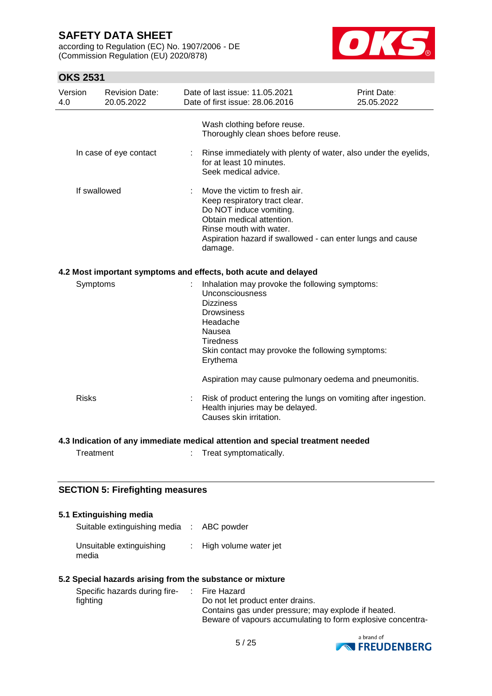according to Regulation (EC) No. 1907/2006 - DE (Commission Regulation (EU) 2020/878)



## **OKS 2531**

| Version<br>4.0 | <b>Revision Date:</b><br>20.05.2022 | Date of last issue: 11.05.2021<br>Date of first issue: 28,06,2016                                                                                                                                                          | Print Date:<br>25.05.2022 |
|----------------|-------------------------------------|----------------------------------------------------------------------------------------------------------------------------------------------------------------------------------------------------------------------------|---------------------------|
|                |                                     | Wash clothing before reuse.<br>Thoroughly clean shoes before reuse.                                                                                                                                                        |                           |
|                | In case of eye contact              | Rinse immediately with plenty of water, also under the eyelids,<br>for at least 10 minutes.<br>Seek medical advice.                                                                                                        |                           |
|                | If swallowed                        | Move the victim to fresh air.<br>Keep respiratory tract clear.<br>Do NOT induce vomiting.<br>Obtain medical attention.<br>Rinse mouth with water.<br>Aspiration hazard if swallowed - can enter lungs and cause<br>damage. |                           |
|                |                                     | 4.2 Most important symptoms and effects, both acute and delayed                                                                                                                                                            |                           |
| Symptoms       |                                     | Inhalation may provoke the following symptoms:<br>Unconsciousness<br><b>Dizziness</b><br><b>Drowsiness</b><br>Headache<br>Nausea<br><b>Tiredness</b><br>Skin contact may provoke the following symptoms:<br>Erythema       |                           |
|                |                                     | Aspiration may cause pulmonary oedema and pneumonitis.                                                                                                                                                                     |                           |
| <b>Risks</b>   |                                     | Risk of product entering the lungs on vomiting after ingestion.<br>Health injuries may be delayed.<br>Causes skin irritation.                                                                                              |                           |
|                |                                     | 4.3 Indication of any immediate medical attention and special treatment needed                                                                                                                                             |                           |

Treatment : Treat symptomatically.

# **SECTION 5: Firefighting measures**

### **5.1 Extinguishing media**

| Suitable extinguishing media : ABC powder |                         |
|-------------------------------------------|-------------------------|
| Unsuitable extinguishing<br>media         | : High volume water jet |

### **5.2 Special hazards arising from the substance or mixture**

| Specific hazards during fire- |  | : Fire Hazard                                               |
|-------------------------------|--|-------------------------------------------------------------|
| fighting                      |  | Do not let product enter drains.                            |
|                               |  | Contains gas under pressure; may explode if heated.         |
|                               |  | Beware of vapours accumulating to form explosive concentra- |

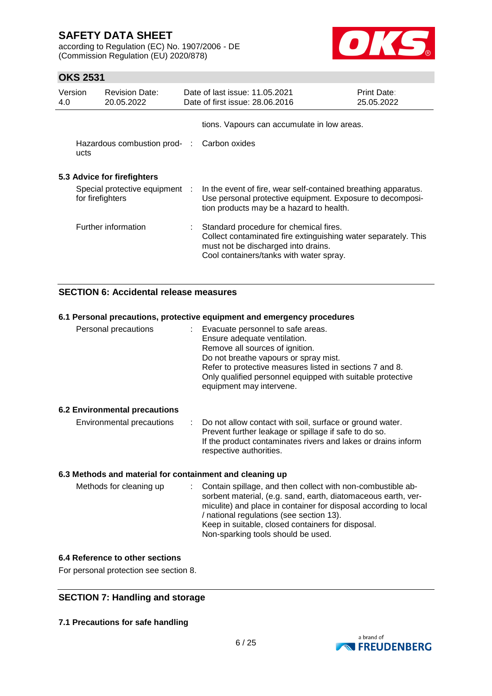according to Regulation (EC) No. 1907/2006 - DE (Commission Regulation (EU) 2020/878)



## **OKS 2531**

| Version<br>4.0 | <b>Revision Date:</b><br>20.05.2022                | Date of last issue: 11.05.2021<br>Date of first issue: 28,06,2016                                                                                                                          | <b>Print Date:</b><br>25.05.2022 |
|----------------|----------------------------------------------------|--------------------------------------------------------------------------------------------------------------------------------------------------------------------------------------------|----------------------------------|
|                |                                                    | tions. Vapours can accumulate in low areas.                                                                                                                                                |                                  |
|                | Hazardous combustion prod-:<br>ucts                | Carbon oxides                                                                                                                                                                              |                                  |
|                | 5.3 Advice for firefighters                        |                                                                                                                                                                                            |                                  |
|                | Special protective equipment :<br>for firefighters | In the event of fire, wear self-contained breathing apparatus.<br>Use personal protective equipment. Exposure to decomposi-<br>tion products may be a hazard to health.                    |                                  |
|                | Further information                                | Standard procedure for chemical fires.<br>Collect contaminated fire extinguishing water separately. This<br>must not be discharged into drains.<br>Cool containers/tanks with water spray. |                                  |

### **SECTION 6: Accidental release measures**

|                                                          | 6.1 Personal precautions, protective equipment and emergency procedures                                                                                                                                                                                                                               |
|----------------------------------------------------------|-------------------------------------------------------------------------------------------------------------------------------------------------------------------------------------------------------------------------------------------------------------------------------------------------------|
| Personal precautions                                     | : Evacuate personnel to safe areas.<br>Ensure adequate ventilation.<br>Remove all sources of ignition.<br>Do not breathe vapours or spray mist.<br>Refer to protective measures listed in sections 7 and 8.<br>Only qualified personnel equipped with suitable protective<br>equipment may intervene. |
| <b>6.2 Environmental precautions</b>                     |                                                                                                                                                                                                                                                                                                       |
| Environmental precautions                                | : Do not allow contact with soil, surface or ground water.<br>Prevent further leakage or spillage if safe to do so.<br>If the product contaminates rivers and lakes or drains inform<br>respective authorities.                                                                                       |
| 6.3 Methods and material for containment and cleaning up |                                                                                                                                                                                                                                                                                                       |
| Methods for cleaning up                                  | Contain spillage, and then collect with non-combustible ab-<br>t.<br>sorbent material, (e.g. sand, earth, diatomaceous earth, ver-<br>miculite) and place in container for disposal according to local                                                                                                |

### **6.4 Reference to other sections**

For personal protection see section 8.

## **SECTION 7: Handling and storage**

**7.1 Precautions for safe handling**



/ national regulations (see section 13).

Non-sparking tools should be used.

Keep in suitable, closed containers for disposal.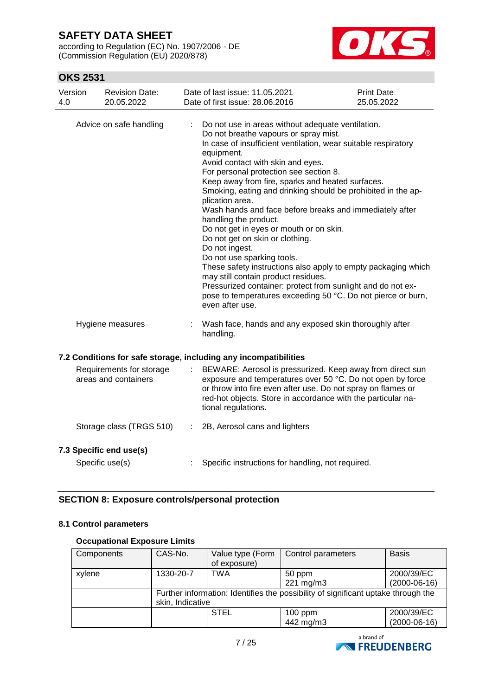according to Regulation (EC) No. 1907/2006 - DE (Commission Regulation (EU) 2020/878)



## **OKS 2531**

| Version<br><b>Revision Date:</b><br>4.0<br>20.05.2022            |    | Date of last issue: 11.05.2021<br>Date of first issue: 28.06.2016                                                                                                                                                                                                                                                                                                                                                                                                                                                                                                                                                                                                                                                                                                                                                                                                            | Print Date:<br>25.05.2022 |
|------------------------------------------------------------------|----|------------------------------------------------------------------------------------------------------------------------------------------------------------------------------------------------------------------------------------------------------------------------------------------------------------------------------------------------------------------------------------------------------------------------------------------------------------------------------------------------------------------------------------------------------------------------------------------------------------------------------------------------------------------------------------------------------------------------------------------------------------------------------------------------------------------------------------------------------------------------------|---------------------------|
| Advice on safe handling                                          |    | Do not use in areas without adequate ventilation.<br>Do not breathe vapours or spray mist.<br>In case of insufficient ventilation, wear suitable respiratory<br>equipment.<br>Avoid contact with skin and eyes.<br>For personal protection see section 8.<br>Keep away from fire, sparks and heated surfaces.<br>Smoking, eating and drinking should be prohibited in the ap-<br>plication area.<br>Wash hands and face before breaks and immediately after<br>handling the product.<br>Do not get in eyes or mouth or on skin.<br>Do not get on skin or clothing.<br>Do not ingest.<br>Do not use sparking tools.<br>These safety instructions also apply to empty packaging which<br>may still contain product residues.<br>Pressurized container: protect from sunlight and do not ex-<br>pose to temperatures exceeding 50 °C. Do not pierce or burn,<br>even after use. |                           |
| Hygiene measures                                                 |    | Wash face, hands and any exposed skin thoroughly after<br>handling.                                                                                                                                                                                                                                                                                                                                                                                                                                                                                                                                                                                                                                                                                                                                                                                                          |                           |
| 7.2 Conditions for safe storage, including any incompatibilities |    |                                                                                                                                                                                                                                                                                                                                                                                                                                                                                                                                                                                                                                                                                                                                                                                                                                                                              |                           |
| Requirements for storage<br>areas and containers                 |    | BEWARE: Aerosol is pressurized. Keep away from direct sun<br>exposure and temperatures over 50 °C. Do not open by force<br>or throw into fire even after use. Do not spray on flames or<br>red-hot objects. Store in accordance with the particular na-<br>tional regulations.                                                                                                                                                                                                                                                                                                                                                                                                                                                                                                                                                                                               |                           |
| Storage class (TRGS 510)                                         | ÷. | 2B, Aerosol cans and lighters                                                                                                                                                                                                                                                                                                                                                                                                                                                                                                                                                                                                                                                                                                                                                                                                                                                |                           |
| 7.3 Specific end use(s)<br>Specific use(s)                       |    | Specific instructions for handling, not required.                                                                                                                                                                                                                                                                                                                                                                                                                                                                                                                                                                                                                                                                                                                                                                                                                            |                           |

## **SECTION 8: Exposure controls/personal protection**

### **8.1 Control parameters**

### **Occupational Exposure Limits**

| Components | CAS-No.                                                                           | Value type (Form | Control parameters | <b>Basis</b>   |  |  |
|------------|-----------------------------------------------------------------------------------|------------------|--------------------|----------------|--|--|
|            |                                                                                   | of exposure)     |                    |                |  |  |
| xylene     | 1330-20-7                                                                         | TWA              | 50 ppm             | 2000/39/EC     |  |  |
|            |                                                                                   |                  | 221 mg/m3          | $(2000-06-16)$ |  |  |
|            | Further information: Identifies the possibility of significant uptake through the |                  |                    |                |  |  |
|            | skin, Indicative                                                                  |                  |                    |                |  |  |
|            |                                                                                   | <b>STEL</b>      | $100$ ppm          | 2000/39/EC     |  |  |
|            |                                                                                   |                  | 442 mg/m3          | $(2000-06-16)$ |  |  |

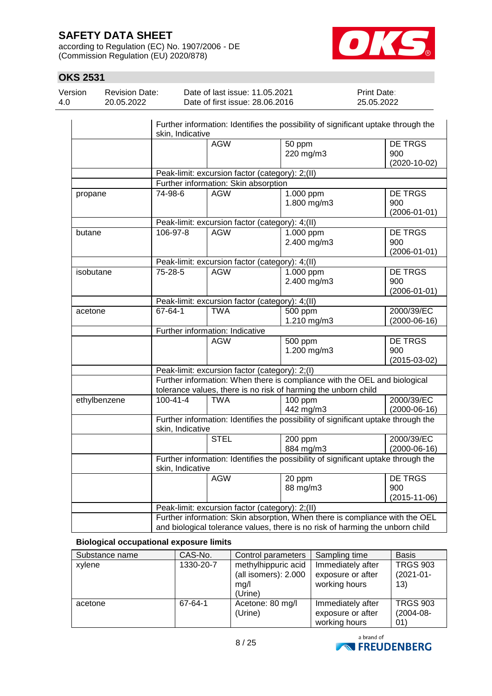according to Regulation (EC) No. 1907/2006 - DE (Commission Regulation (EU) 2020/878)



 $\mathbf{r}$ 

# **OKS 2531**

| Version | <b>Revision Date:</b> | Date of last issue: 11.05.2021  | <b>Print Date:</b> |
|---------|-----------------------|---------------------------------|--------------------|
| 4.0     | 20.05.2022            | Date of first issue: 28.06.2016 | 25.05.2022         |
|         |                       |                                 |                    |

|              | skin, Indicative |                                                 | Further information: Identifies the possibility of significant uptake through the                                                                            |                                             |
|--------------|------------------|-------------------------------------------------|--------------------------------------------------------------------------------------------------------------------------------------------------------------|---------------------------------------------|
|              |                  | <b>AGW</b>                                      | 50 ppm<br>220 mg/m3                                                                                                                                          | <b>DE TRGS</b><br>900<br>$(2020 - 10 - 02)$ |
|              |                  | Peak-limit: excursion factor (category): 2;(II) |                                                                                                                                                              |                                             |
|              |                  | Further information: Skin absorption            |                                                                                                                                                              |                                             |
| propane      | 74-98-6          | <b>AGW</b>                                      | 1.000 ppm<br>1.800 mg/m3                                                                                                                                     | <b>DE TRGS</b><br>900<br>$(2006 - 01 - 01)$ |
|              |                  | Peak-limit: excursion factor (category): 4;(II) |                                                                                                                                                              |                                             |
| butane       | 106-97-8         | <b>AGW</b>                                      | 1.000 ppm<br>2.400 mg/m3                                                                                                                                     | <b>DE TRGS</b><br>900<br>$(2006 - 01 - 01)$ |
|              |                  | Peak-limit: excursion factor (category): 4;(II) |                                                                                                                                                              |                                             |
| isobutane    | 75-28-5          | <b>AGW</b>                                      | 1.000 ppm<br>2.400 mg/m3                                                                                                                                     | <b>DE TRGS</b><br>900<br>$(2006 - 01 - 01)$ |
|              |                  | Peak-limit: excursion factor (category): 4;(II) |                                                                                                                                                              |                                             |
| acetone      | 67-64-1          | <b>TWA</b>                                      | 500 ppm<br>1.210 mg/m3                                                                                                                                       | 2000/39/EC<br>$(2000-06-16)$                |
|              |                  | Further information: Indicative                 |                                                                                                                                                              |                                             |
|              |                  | <b>AGW</b>                                      | 500 ppm<br>1.200 mg/m3                                                                                                                                       | <b>DE TRGS</b><br>900<br>$(2015-03-02)$     |
|              |                  | Peak-limit: excursion factor (category): 2;(I)  |                                                                                                                                                              |                                             |
|              |                  |                                                 | Further information: When there is compliance with the OEL and biological<br>tolerance values, there is no risk of harming the unborn child                  |                                             |
| ethylbenzene | $100 - 41 - 4$   | <b>TWA</b>                                      | 100 ppm<br>442 mg/m3                                                                                                                                         | 2000/39/EC<br>$(2000-06-16)$                |
|              | skin, Indicative |                                                 | Further information: Identifies the possibility of significant uptake through the                                                                            |                                             |
|              |                  | <b>STEL</b>                                     | 200 ppm<br>884 mg/m3                                                                                                                                         | 2000/39/EC<br>$(2000-06-16)$                |
|              | skin, Indicative |                                                 | Further information: Identifies the possibility of significant uptake through the                                                                            |                                             |
|              |                  | <b>AGW</b>                                      | 20 ppm<br>88 mg/m3                                                                                                                                           | <b>DE TRGS</b><br>900<br>$(2015 - 11 - 06)$ |
|              |                  | Peak-limit: excursion factor (category): 2;(II) |                                                                                                                                                              |                                             |
|              |                  |                                                 | Further information: Skin absorption, When there is compliance with the OEL<br>and biological tolerance values, there is no risk of harming the unborn child |                                             |

### **Biological occupational exposure limits**

| Substance name | CAS-No.   | Control parameters                                             | Sampling time                                           | <b>Basis</b>                              |
|----------------|-----------|----------------------------------------------------------------|---------------------------------------------------------|-------------------------------------------|
| xylene         | 1330-20-7 | methylhippuric acid<br>(all isomers): 2.000<br>mg/l<br>(Urine) | Immediately after<br>exposure or after<br>working hours | <b>TRGS 903</b><br>$(2021 - 01 -$<br>(13) |
| acetone        | 67-64-1   | Acetone: 80 mg/l<br>(Urine)                                    | Immediately after<br>exposure or after<br>working hours | <b>TRGS 903</b><br>$(2004 - 08 -$<br>01)  |

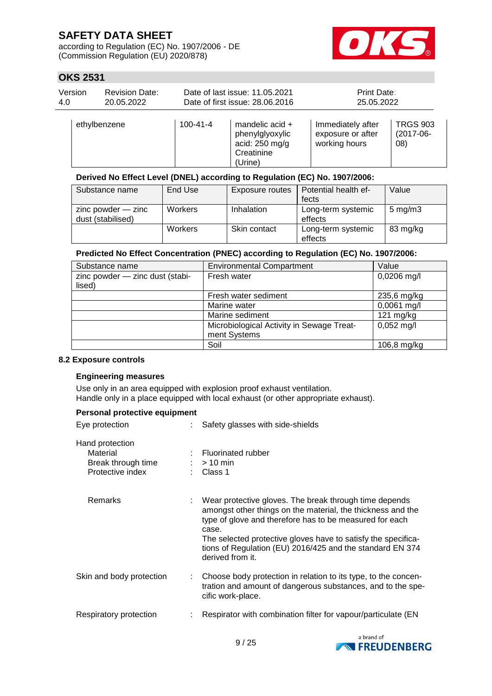according to Regulation (EC) No. 1907/2006 - DE (Commission Regulation (EU) 2020/878)



## **OKS 2531**

| Version | Revision Date: | Date of last issue: 11.05.2021  | <b>Print Date:</b> |
|---------|----------------|---------------------------------|--------------------|
| -4.0    | 20.05.2022     | Date of first issue: 28.06.2016 | 25.05.2022         |
|         |                |                                 |                    |

| ethylbenzene | $100 - 41 - 4$ | mandelic acid $+$<br>phenylglyoxylic<br>acid: $250$ mg/g<br>Creatinine<br>(Urine) | Immediately after<br>exposure or after<br>working hours | <b>TRGS 903</b><br>$(2017-06-$<br>08) |
|--------------|----------------|-----------------------------------------------------------------------------------|---------------------------------------------------------|---------------------------------------|
|--------------|----------------|-----------------------------------------------------------------------------------|---------------------------------------------------------|---------------------------------------|

## **Derived No Effect Level (DNEL) according to Regulation (EC) No. 1907/2006:**

| Substance name                              | End Use        | <b>Exposure routes</b> | Potential health ef-          | Value            |
|---------------------------------------------|----------------|------------------------|-------------------------------|------------------|
|                                             |                |                        | fects                         |                  |
| $zinc$ powder $-$ zinc<br>dust (stabilised) | <b>Workers</b> | Inhalation             | Long-term systemic<br>effects | $5 \text{ mg/m}$ |
|                                             | <b>Workers</b> | Skin contact           | Long-term systemic<br>effects | 83 mg/kg         |

### **Predicted No Effect Concentration (PNEC) according to Regulation (EC) No. 1907/2006:**

| Substance name                  | <b>Environmental Compartment</b>          | Value         |
|---------------------------------|-------------------------------------------|---------------|
| zinc powder - zinc dust (stabi- | Fresh water                               | $0,0206$ mg/l |
| lised)                          |                                           |               |
|                                 | Fresh water sediment                      | 235,6 mg/kg   |
|                                 | Marine water                              | 0,0061 mg/l   |
|                                 | Marine sediment                           | 121 $mg/kg$   |
|                                 | Microbiological Activity in Sewage Treat- | $0,052$ mg/l  |
|                                 | ment Systems                              |               |
|                                 | Soil                                      | 106,8 mg/kg   |

### **8.2 Exposure controls**

### **Engineering measures**

Use only in an area equipped with explosion proof exhaust ventilation. Handle only in a place equipped with local exhaust (or other appropriate exhaust).

### **Personal protective equipment**

| Eye protection                                                        | Safety glasses with side-shields                                                                                                                                                                                                                                                                                                              |
|-----------------------------------------------------------------------|-----------------------------------------------------------------------------------------------------------------------------------------------------------------------------------------------------------------------------------------------------------------------------------------------------------------------------------------------|
| Hand protection<br>Material<br>Break through time<br>Protective index | : Fluorinated rubber<br>$:$ > 10 min<br>: Class 1                                                                                                                                                                                                                                                                                             |
| Remarks                                                               | : Wear protective gloves. The break through time depends<br>amongst other things on the material, the thickness and the<br>type of glove and therefore has to be measured for each<br>case.<br>The selected protective gloves have to satisfy the specifica-<br>tions of Regulation (EU) 2016/425 and the standard EN 374<br>derived from it. |
| Skin and body protection                                              | Choose body protection in relation to its type, to the concen-<br>tration and amount of dangerous substances, and to the spe-<br>cific work-place.                                                                                                                                                                                            |
| Respiratory protection                                                | Respirator with combination filter for vapour/particulate (EN                                                                                                                                                                                                                                                                                 |

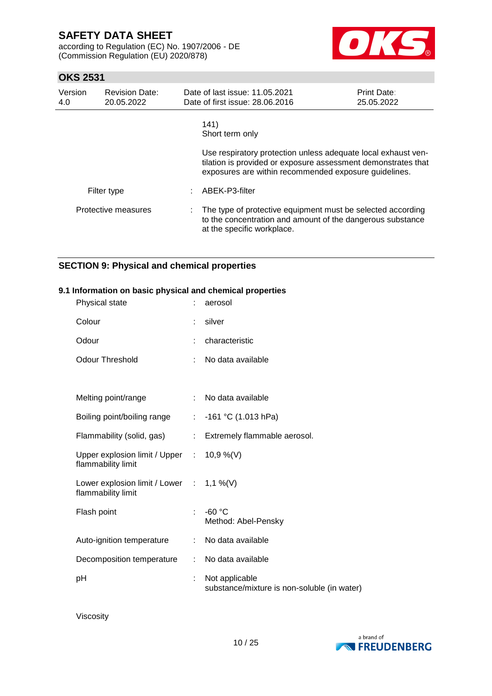according to Regulation (EC) No. 1907/2006 - DE (Commission Regulation (EU) 2020/878)



## **OKS 2531**

| Version<br>4.0 | <b>Revision Date:</b><br>20.05.2022 | Date of last issue: 11.05.2021<br>Date of first issue: 28.06.2016                                                                                                                       | <b>Print Date:</b><br>25.05.2022 |
|----------------|-------------------------------------|-----------------------------------------------------------------------------------------------------------------------------------------------------------------------------------------|----------------------------------|
|                |                                     | 141)<br>Short term only                                                                                                                                                                 |                                  |
|                |                                     | Use respiratory protection unless adequate local exhaust ven-<br>tilation is provided or exposure assessment demonstrates that<br>exposures are within recommended exposure guidelines. |                                  |
|                | Filter type                         | ABEK-P3-filter                                                                                                                                                                          |                                  |
|                | Protective measures                 | : The type of protective equipment must be selected according<br>to the concentration and amount of the dangerous substance<br>at the specific workplace.                               |                                  |

## **SECTION 9: Physical and chemical properties**

### **9.1 Information on basic physical and chemical properties**

| Physical state                                                  |                | aerosol                                                       |
|-----------------------------------------------------------------|----------------|---------------------------------------------------------------|
| Colour                                                          |                | silver                                                        |
| Odour                                                           |                | characteristic                                                |
| <b>Odour Threshold</b>                                          |                | No data available                                             |
|                                                                 |                |                                                               |
| Melting point/range                                             |                | No data available                                             |
| Boiling point/boiling range                                     | ÷              | $-161$ °C (1.013 hPa)                                         |
| Flammability (solid, gas)                                       | $\mathbb{R}^n$ | Extremely flammable aerosol.                                  |
| Upper explosion limit / Upper : 10,9 %(V)<br>flammability limit |                |                                                               |
| Lower explosion limit / Lower : 1,1 %(V)<br>flammability limit  |                |                                                               |
| Flash point                                                     | ÷              | $-60 °C$<br>Method: Abel-Pensky                               |
| Auto-ignition temperature                                       | ÷.             | No data available                                             |
| Decomposition temperature                                       | ÷              | No data available                                             |
| pH                                                              |                | Not applicable<br>substance/mixture is non-soluble (in water) |

Viscosity

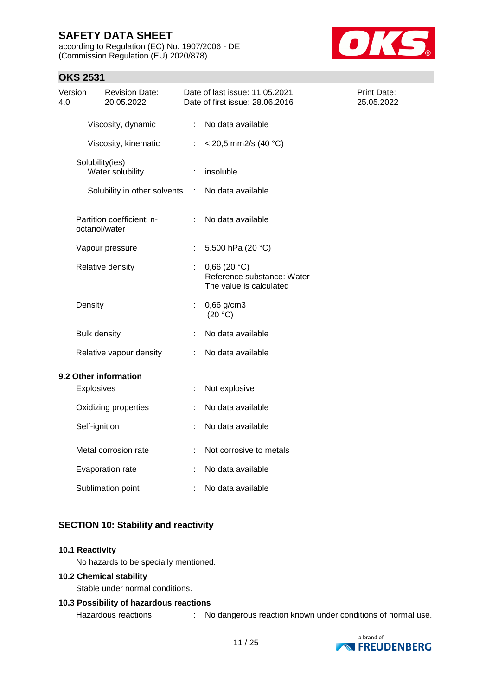**OKS 2531**

according to Regulation (EC) No. 1907/2006 - DE (Commission Regulation (EU) 2020/878)



| 4.0 | Version             | <b>Revision Date:</b><br>20.05.2022 |                       | Date of last issue: 11.05.2021<br>Date of first issue: 28.06.2016    | Print Date:<br>25.05.2022 |
|-----|---------------------|-------------------------------------|-----------------------|----------------------------------------------------------------------|---------------------------|
|     |                     | Viscosity, dynamic                  | $\mathbb{Z}^{\times}$ | No data available                                                    |                           |
|     |                     | Viscosity, kinematic                | ÷.                    | $<$ 20,5 mm2/s (40 °C)                                               |                           |
|     | Solubility(ies)     | Water solubility                    | ÷                     | insoluble                                                            |                           |
|     |                     | Solubility in other solvents        | ÷                     | No data available                                                    |                           |
|     | octanol/water       | Partition coefficient: n-           | ÷                     | No data available                                                    |                           |
|     |                     | Vapour pressure                     | $\mathbb{Z}^{\times}$ | 5.500 hPa (20 °C)                                                    |                           |
|     |                     | Relative density                    |                       | 0,66(20 °C)<br>Reference substance: Water<br>The value is calculated |                           |
|     | Density             |                                     | t                     | 0,66 g/cm3<br>(20 °C)                                                |                           |
|     | <b>Bulk density</b> |                                     |                       | No data available                                                    |                           |
|     |                     | Relative vapour density             | ÷                     | No data available                                                    |                           |
|     |                     | 9.2 Other information               |                       |                                                                      |                           |
|     | Explosives          |                                     |                       | Not explosive                                                        |                           |
|     |                     | Oxidizing properties                | t                     | No data available                                                    |                           |
|     | Self-ignition       |                                     |                       | No data available                                                    |                           |
|     |                     | Metal corrosion rate                | ÷                     | Not corrosive to metals                                              |                           |
|     |                     | Evaporation rate                    |                       | No data available                                                    |                           |
|     |                     | Sublimation point                   |                       | No data available                                                    |                           |

## **SECTION 10: Stability and reactivity**

### **10.1 Reactivity**

No hazards to be specially mentioned.

### **10.2 Chemical stability**

Stable under normal conditions.

### **10.3 Possibility of hazardous reactions**

Hazardous reactions : No dangerous reaction known under conditions of normal use.

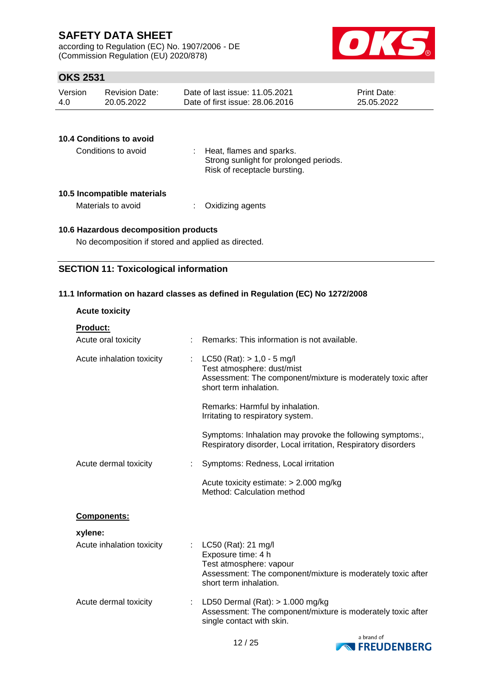according to Regulation (EC) No. 1907/2006 - DE (Commission Regulation (EU) 2020/878)



## **OKS 2531**

| Version | <b>Revision Date:</b> | Date of last issue: 11.05.2021  | <b>Print Date:</b> |
|---------|-----------------------|---------------------------------|--------------------|
| 4.0     | 20.05.2022            | Date of first issue: 28,06,2016 | 25.05.2022         |

| 10.4 Conditions to avoid |                                                                                                    |
|--------------------------|----------------------------------------------------------------------------------------------------|
| Conditions to avoid      | Heat, flames and sparks.<br>Strong sunlight for prolonged periods.<br>Risk of receptacle bursting. |

### **10.5 Incompatible materials**

Materials to avoid : Oxidizing agents

# **10.6 Hazardous decomposition products**

No decomposition if stored and applied as directed.

## **SECTION 11: Toxicological information**

### **11.1 Information on hazard classes as defined in Regulation (EC) No 1272/2008**

| <b>Acute toxicity</b>                  |                                                                                                                                                               |
|----------------------------------------|---------------------------------------------------------------------------------------------------------------------------------------------------------------|
| <b>Product:</b><br>Acute oral toxicity | Remarks: This information is not available.                                                                                                                   |
|                                        |                                                                                                                                                               |
| Acute inhalation toxicity              | LC50 (Rat): $> 1,0 - 5$ mg/l<br>Test atmosphere: dust/mist<br>Assessment: The component/mixture is moderately toxic after<br>short term inhalation.           |
|                                        | Remarks: Harmful by inhalation.<br>Irritating to respiratory system.                                                                                          |
|                                        | Symptoms: Inhalation may provoke the following symptoms:,<br>Respiratory disorder, Local irritation, Respiratory disorders                                    |
| Acute dermal toxicity                  | Symptoms: Redness, Local irritation                                                                                                                           |
|                                        | Acute toxicity estimate: $> 2.000$ mg/kg<br>Method: Calculation method                                                                                        |
| <b>Components:</b>                     |                                                                                                                                                               |
| xylene:                                |                                                                                                                                                               |
| Acute inhalation toxicity              | LC50 (Rat): 21 mg/l<br>Exposure time: 4 h<br>Test atmosphere: vapour<br>Assessment: The component/mixture is moderately toxic after<br>short term inhalation. |
| Acute dermal toxicity                  | LD50 Dermal $(Rat):$ > 1.000 mg/kg<br>Assessment: The component/mixture is moderately toxic after<br>single contact with skin.                                |

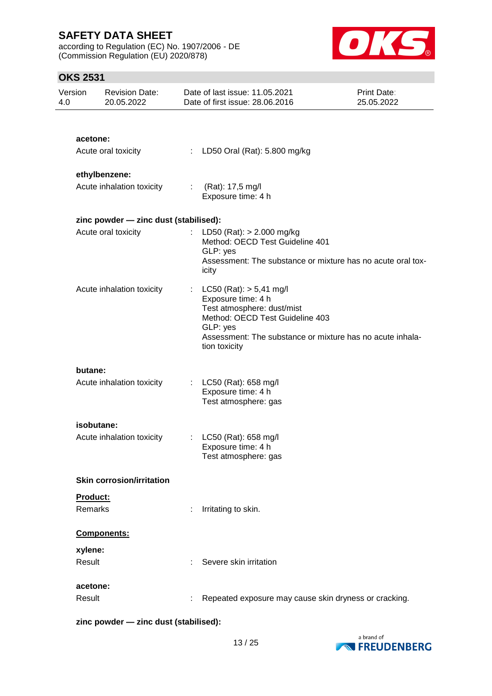according to Regulation (EC) No. 1907/2006 - DE (Commission Regulation (EU) 2020/878)



## **OKS 2531**

| Version<br>4.0 |                | <b>Revision Date:</b><br>20.05.2022   |                           | Date of last issue: 11.05.2021<br>Date of first issue: 28.06.2016                                                                                                                                            | Print Date:<br>25.05.2022 |
|----------------|----------------|---------------------------------------|---------------------------|--------------------------------------------------------------------------------------------------------------------------------------------------------------------------------------------------------------|---------------------------|
|                |                |                                       |                           |                                                                                                                                                                                                              |                           |
|                | acetone:       |                                       |                           |                                                                                                                                                                                                              |                           |
|                |                | Acute oral toxicity                   | ÷.                        | LD50 Oral (Rat): 5.800 mg/kg                                                                                                                                                                                 |                           |
|                |                | ethylbenzene:                         |                           |                                                                                                                                                                                                              |                           |
|                |                | Acute inhalation toxicity             | $\mathbb{Z}^{\times}$     | (Rat): 17,5 mg/l<br>Exposure time: 4 h                                                                                                                                                                       |                           |
|                |                | zinc powder - zinc dust (stabilised): |                           |                                                                                                                                                                                                              |                           |
|                |                | Acute oral toxicity                   |                           | LD50 (Rat): $> 2.000$ mg/kg<br>Method: OECD Test Guideline 401<br>GLP: yes<br>Assessment: The substance or mixture has no acute oral tox-<br>icity                                                           |                           |
|                |                | Acute inhalation toxicity             |                           | $LC50$ (Rat): $> 5,41$ mg/l<br>Exposure time: 4 h<br>Test atmosphere: dust/mist<br>Method: OECD Test Guideline 403<br>GLP: yes<br>Assessment: The substance or mixture has no acute inhala-<br>tion toxicity |                           |
|                | butane:        |                                       |                           |                                                                                                                                                                                                              |                           |
|                |                | Acute inhalation toxicity             | $\mathbb{Z}^{\mathbb{Z}}$ | LC50 (Rat): 658 mg/l<br>Exposure time: 4 h<br>Test atmosphere: gas                                                                                                                                           |                           |
|                | isobutane:     |                                       |                           |                                                                                                                                                                                                              |                           |
|                |                | Acute inhalation toxicity             | $\mathbb{Z}^{\times}$     | LC50 (Rat): 658 mg/l<br>Exposure time: 4 h<br>Test atmosphere: gas                                                                                                                                           |                           |
|                |                | <b>Skin corrosion/irritation</b>      |                           |                                                                                                                                                                                                              |                           |
|                | Product:       |                                       |                           |                                                                                                                                                                                                              |                           |
|                | <b>Remarks</b> |                                       |                           | Irritating to skin.                                                                                                                                                                                          |                           |
|                |                | Components:                           |                           |                                                                                                                                                                                                              |                           |
|                | xylene:        |                                       |                           |                                                                                                                                                                                                              |                           |
|                | Result         |                                       |                           | Severe skin irritation                                                                                                                                                                                       |                           |
|                | acetone:       |                                       |                           |                                                                                                                                                                                                              |                           |
|                | Result         |                                       |                           | Repeated exposure may cause skin dryness or cracking.                                                                                                                                                        |                           |

**zinc powder — zinc dust (stabilised):**

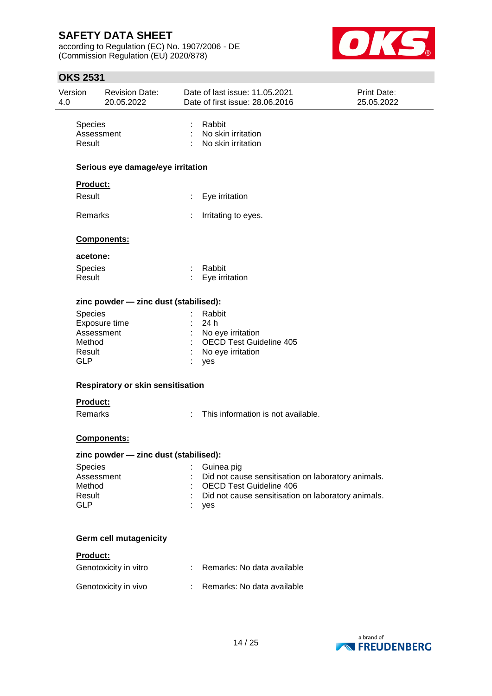according to Regulation (EC) No. 1907/2006 - DE (Commission Regulation (EU) 2020/878)



| Version<br>4.0       | <b>Revision Date:</b><br>20.05.2022   |    | Date of last issue: 11.05.2021<br>Date of first issue: 28.06.2016 | Print Date:<br>25.05.2022 |
|----------------------|---------------------------------------|----|-------------------------------------------------------------------|---------------------------|
| Species<br>Result    | Assessment                            | ÷  | Rabbit<br>No skin irritation<br>No skin irritation                |                           |
|                      | Serious eye damage/eye irritation     |    |                                                                   |                           |
|                      | Product:                              |    |                                                                   |                           |
| Result               |                                       | ÷. | Eye irritation                                                    |                           |
| Remarks              |                                       |    | Irritating to eyes.                                               |                           |
|                      | <b>Components:</b>                    |    |                                                                   |                           |
|                      | acetone:                              |    |                                                                   |                           |
| Species<br>Result    |                                       | ÷  | Rabbit<br>Eye irritation                                          |                           |
|                      | zinc powder - zinc dust (stabilised): |    |                                                                   |                           |
| Species              |                                       |    | Rabbit                                                            |                           |
|                      | Exposure time                         |    | 24 h                                                              |                           |
|                      | Assessment                            |    | No eye irritation                                                 |                           |
| Method<br>Result     |                                       |    | <b>OECD Test Guideline 405</b><br>No eye irritation               |                           |
| <b>GLP</b>           |                                       |    | yes                                                               |                           |
|                      | Respiratory or skin sensitisation     |    |                                                                   |                           |
|                      | Product:                              |    |                                                                   |                           |
|                      | Remarks                               |    | This information is not available.                                |                           |
|                      | Components:                           |    |                                                                   |                           |
|                      | zinc powder - zinc dust (stabilised): |    |                                                                   |                           |
| Species              |                                       |    | Guinea pig                                                        |                           |
|                      | Assessment                            |    | Did not cause sensitisation on laboratory animals.                |                           |
| Method               |                                       |    | <b>OECD Test Guideline 406</b>                                    |                           |
| Result<br><b>GLP</b> |                                       |    | Did not cause sensitisation on laboratory animals.                |                           |
|                      |                                       |    | yes                                                               |                           |
|                      | Germ cell mutagenicity                |    |                                                                   |                           |
|                      | Product:                              |    |                                                                   |                           |
|                      | Genotoxicity in vitro                 |    | : Remarks: No data available                                      |                           |
|                      | Genotoxicity in vivo                  |    | Remarks: No data available                                        |                           |
|                      |                                       |    |                                                                   |                           |

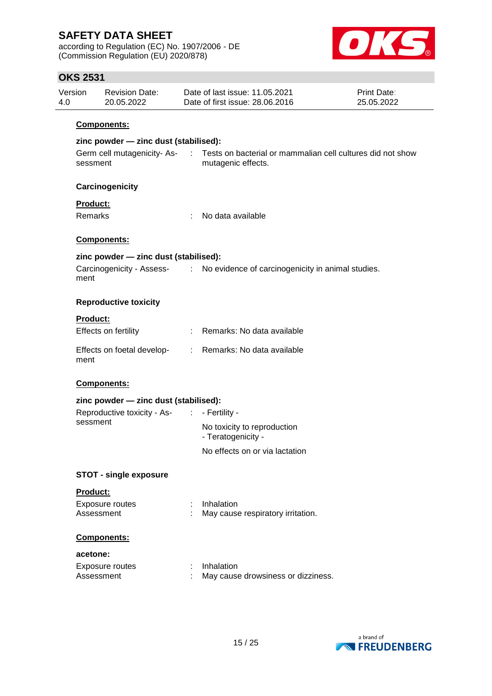according to Regulation (EC) No. 1907/2006 - DE (Commission Regulation (EU) 2020/878)



| Version<br>4.0 |                     | <b>Revision Date:</b><br>20.05.2022   |             | Date of last issue: 11.05.2021<br>Date of first issue: 28.06.2016                | <b>Print Date:</b><br>25.05.2022 |  |  |  |  |
|----------------|---------------------|---------------------------------------|-------------|----------------------------------------------------------------------------------|----------------------------------|--|--|--|--|
|                |                     | Components:                           |             |                                                                                  |                                  |  |  |  |  |
|                |                     | zinc powder - zinc dust (stabilised): |             |                                                                                  |                                  |  |  |  |  |
|                | sessment            | Germ cell mutagenicity-As-            | $\sim 10^6$ | Tests on bacterial or mammalian cell cultures did not show<br>mutagenic effects. |                                  |  |  |  |  |
|                |                     | Carcinogenicity                       |             |                                                                                  |                                  |  |  |  |  |
|                | Product:<br>Remarks |                                       | ÷           | No data available                                                                |                                  |  |  |  |  |
|                |                     | Components:                           |             |                                                                                  |                                  |  |  |  |  |
|                |                     | zinc powder - zinc dust (stabilised): |             |                                                                                  |                                  |  |  |  |  |
|                | ment                | Carcinogenicity - Assess- :           |             | No evidence of carcinogenicity in animal studies.                                |                                  |  |  |  |  |
|                |                     | <b>Reproductive toxicity</b>          |             |                                                                                  |                                  |  |  |  |  |
|                | <b>Product:</b>     |                                       |             |                                                                                  |                                  |  |  |  |  |
|                |                     | Effects on fertility                  |             | Remarks: No data available                                                       |                                  |  |  |  |  |
|                | ment                | Effects on foetal develop-            |             | : Remarks: No data available                                                     |                                  |  |  |  |  |
|                |                     | Components:                           |             |                                                                                  |                                  |  |  |  |  |
|                |                     | zinc powder - zinc dust (stabilised): |             |                                                                                  |                                  |  |  |  |  |
|                |                     | Reproductive toxicity - As- :         |             | - Fertility -                                                                    |                                  |  |  |  |  |
|                | sessment            |                                       |             | No toxicity to reproduction<br>- Teratogenicity -                                |                                  |  |  |  |  |
|                |                     |                                       |             | No effects on or via lactation                                                   |                                  |  |  |  |  |
|                |                     | <b>STOT - single exposure</b>         |             |                                                                                  |                                  |  |  |  |  |
|                | Product:            |                                       |             |                                                                                  |                                  |  |  |  |  |
|                | Assessment          | Exposure routes                       |             | Inhalation<br>May cause respiratory irritation.                                  |                                  |  |  |  |  |
|                |                     | Components:                           |             |                                                                                  |                                  |  |  |  |  |
|                | acetone:            |                                       |             |                                                                                  |                                  |  |  |  |  |
|                | Assessment          | Exposure routes                       |             | Inhalation<br>May cause drowsiness or dizziness.                                 |                                  |  |  |  |  |
|                |                     |                                       |             |                                                                                  |                                  |  |  |  |  |
|                |                     |                                       |             |                                                                                  |                                  |  |  |  |  |

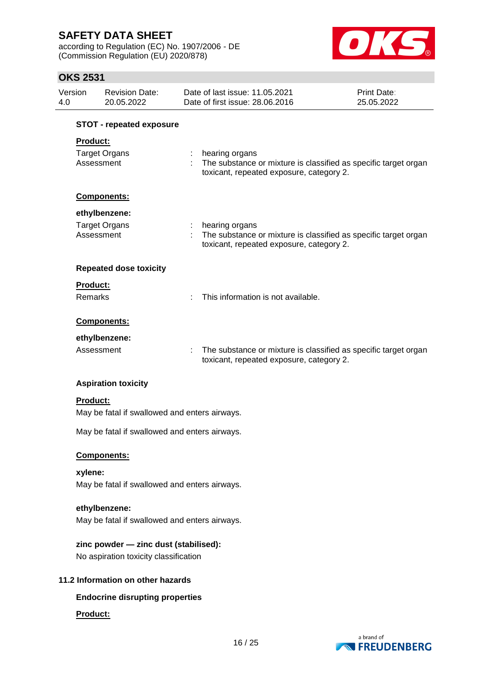according to Regulation (EC) No. 1907/2006 - DE (Commission Regulation (EU) 2020/878)



| 4.0 | Version                                                                        | <b>Revision Date:</b><br>20.05.2022           |  | Date of last issue: 11.05.2021<br>Date of first issue: 28.06.2016                                                               | Print Date:<br>25.05.2022       |  |
|-----|--------------------------------------------------------------------------------|-----------------------------------------------|--|---------------------------------------------------------------------------------------------------------------------------------|---------------------------------|--|
|     |                                                                                | <b>STOT - repeated exposure</b>               |  |                                                                                                                                 |                                 |  |
|     | <b>Product:</b>                                                                |                                               |  |                                                                                                                                 |                                 |  |
|     |                                                                                |                                               |  |                                                                                                                                 |                                 |  |
|     | Assessment                                                                     | <b>Target Organs</b>                          |  | : hearing organs<br>The substance or mixture is classified as specific target organ<br>toxicant, repeated exposure, category 2. |                                 |  |
|     |                                                                                | Components:                                   |  |                                                                                                                                 |                                 |  |
|     |                                                                                | ethylbenzene:                                 |  |                                                                                                                                 |                                 |  |
|     |                                                                                | <b>Target Organs</b>                          |  | : hearing organs                                                                                                                |                                 |  |
|     | Assessment                                                                     |                                               |  | The substance or mixture is classified as specific target organ<br>toxicant, repeated exposure, category 2.                     |                                 |  |
|     |                                                                                | <b>Repeated dose toxicity</b>                 |  |                                                                                                                                 |                                 |  |
|     | <b>Product:</b>                                                                |                                               |  |                                                                                                                                 |                                 |  |
|     | <b>Remarks</b>                                                                 |                                               |  | This information is not available.                                                                                              |                                 |  |
|     |                                                                                | Components:                                   |  |                                                                                                                                 |                                 |  |
|     |                                                                                | ethylbenzene:                                 |  |                                                                                                                                 |                                 |  |
|     | Assessment                                                                     |                                               |  | The substance or mixture is classified as specific target organ<br>toxicant, repeated exposure, category 2.                     |                                 |  |
|     |                                                                                | <b>Aspiration toxicity</b>                    |  |                                                                                                                                 |                                 |  |
|     | <b>Product:</b>                                                                | May be fatal if swallowed and enters airways. |  |                                                                                                                                 |                                 |  |
|     |                                                                                | May be fatal if swallowed and enters airways. |  |                                                                                                                                 |                                 |  |
|     |                                                                                | Components:                                   |  |                                                                                                                                 |                                 |  |
|     | xylene:                                                                        |                                               |  |                                                                                                                                 |                                 |  |
|     |                                                                                | May be fatal if swallowed and enters airways. |  |                                                                                                                                 |                                 |  |
|     |                                                                                | ethylbenzene:                                 |  |                                                                                                                                 |                                 |  |
|     |                                                                                | May be fatal if swallowed and enters airways. |  |                                                                                                                                 |                                 |  |
|     | zinc powder - zinc dust (stabilised):<br>No aspiration toxicity classification |                                               |  |                                                                                                                                 |                                 |  |
|     |                                                                                | 11.2 Information on other hazards             |  |                                                                                                                                 |                                 |  |
|     |                                                                                | <b>Endocrine disrupting properties</b>        |  |                                                                                                                                 |                                 |  |
|     | Product:                                                                       |                                               |  |                                                                                                                                 |                                 |  |
|     |                                                                                |                                               |  | 16/25                                                                                                                           | a brand of<br><b>NEUDENBERG</b> |  |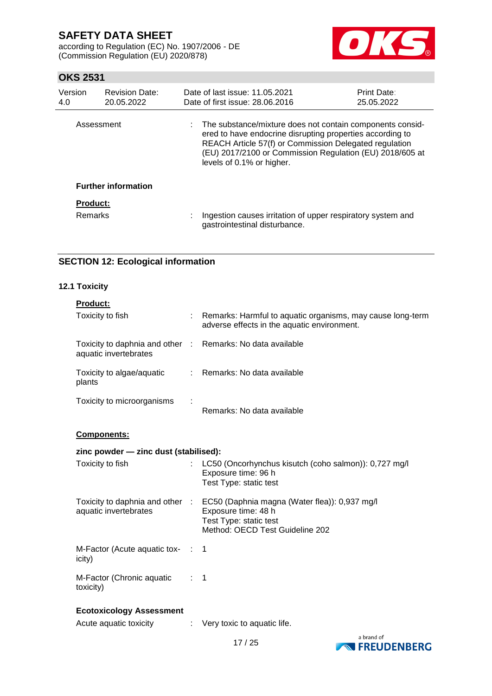according to Regulation (EC) No. 1907/2006 - DE (Commission Regulation (EU) 2020/878)



## **OKS 2531**

| Version<br>4.0  | <b>Revision Date:</b><br>20.05.2022 |   | Date of last issue: 11.05.2021<br>Date of first issue: 28,06,2016                                                                                                                                                                                                           | <b>Print Date:</b><br>25.05.2022 |
|-----------------|-------------------------------------|---|-----------------------------------------------------------------------------------------------------------------------------------------------------------------------------------------------------------------------------------------------------------------------------|----------------------------------|
| Assessment      |                                     |   | : The substance/mixture does not contain components consid-<br>ered to have endocrine disrupting properties according to<br>REACH Article 57(f) or Commission Delegated regulation<br>(EU) 2017/2100 or Commission Regulation (EU) 2018/605 at<br>levels of 0.1% or higher. |                                  |
|                 | <b>Further information</b>          |   |                                                                                                                                                                                                                                                                             |                                  |
| <b>Product:</b> |                                     |   |                                                                                                                                                                                                                                                                             |                                  |
| <b>Remarks</b>  |                                     | ÷ | Ingestion causes irritation of upper respiratory system and<br>gastrointestinal disturbance.                                                                                                                                                                                |                                  |

# **SECTION 12: Ecological information**

### **12.1 Toxicity**

|  |  |  | odu | ı |  |  |
|--|--|--|-----|---|--|--|
|--|--|--|-----|---|--|--|

| Toxicity to fish                                                                    |                | : Remarks: Harmful to aquatic organisms, may cause long-term<br>adverse effects in the aquatic environment.                                                       |
|-------------------------------------------------------------------------------------|----------------|-------------------------------------------------------------------------------------------------------------------------------------------------------------------|
| Toxicity to daphnia and other : Remarks: No data available<br>aquatic invertebrates |                |                                                                                                                                                                   |
| Toxicity to algae/aquatic<br>plants                                                 |                | : Remarks: No data available                                                                                                                                      |
| Toxicity to microorganisms                                                          |                | Remarks: No data available                                                                                                                                        |
| Components:                                                                         |                |                                                                                                                                                                   |
| zinc powder - zinc dust (stabilised):                                               |                |                                                                                                                                                                   |
| Toxicity to fish                                                                    |                | LC50 (Oncorhynchus kisutch (coho salmon)): 0,727 mg/l<br>Exposure time: 96 h<br>Test Type: static test                                                            |
| aquatic invertebrates                                                               |                | Toxicity to daphnia and other : EC50 (Daphnia magna (Water flea)): 0,937 mg/l<br>Exposure time: 48 h<br>Test Type: static test<br>Method: OECD Test Guideline 202 |
| M-Factor (Acute aquatic tox- : 1<br>icity)                                          |                |                                                                                                                                                                   |
| M-Factor (Chronic aquatic<br>toxicity)                                              | $\therefore$ 1 |                                                                                                                                                                   |
| <b>Ecotoxicology Assessment</b>                                                     |                |                                                                                                                                                                   |
| Acute aquatic toxicity                                                              |                | Very toxic to aquatic life.                                                                                                                                       |

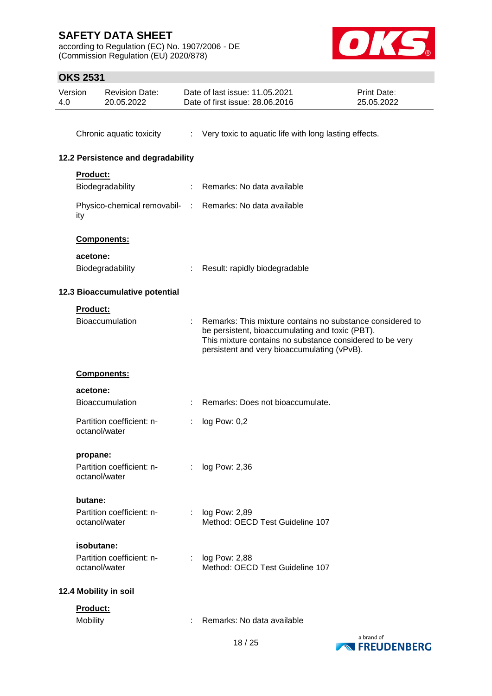according to Regulation (EC) No. 1907/2006 - DE (Commission Regulation (EU) 2020/878)



| 4.0 | Version         | <b>Revision Date:</b><br>20.05.2022 |                | Date of last issue: 11.05.2021<br>Date of first issue: 28.06.2016                                                                                                                                                       | <b>Print Date:</b><br>25.05.2022 |
|-----|-----------------|-------------------------------------|----------------|-------------------------------------------------------------------------------------------------------------------------------------------------------------------------------------------------------------------------|----------------------------------|
|     |                 | Chronic aquatic toxicity            | $\mathcal{L}$  | Very toxic to aquatic life with long lasting effects.                                                                                                                                                                   |                                  |
|     |                 | 12.2 Persistence and degradability  |                |                                                                                                                                                                                                                         |                                  |
|     | <b>Product:</b> |                                     |                |                                                                                                                                                                                                                         |                                  |
|     |                 | Biodegradability                    | t.             | Remarks: No data available                                                                                                                                                                                              |                                  |
|     | ity             |                                     |                | Physico-chemical removabil- : Remarks: No data available                                                                                                                                                                |                                  |
|     |                 | Components:                         |                |                                                                                                                                                                                                                         |                                  |
|     | acetone:        |                                     |                |                                                                                                                                                                                                                         |                                  |
|     |                 | Biodegradability                    |                | Result: rapidly biodegradable                                                                                                                                                                                           |                                  |
|     |                 | 12.3 Bioaccumulative potential      |                |                                                                                                                                                                                                                         |                                  |
|     | <b>Product:</b> |                                     |                |                                                                                                                                                                                                                         |                                  |
|     |                 | <b>Bioaccumulation</b>              |                | Remarks: This mixture contains no substance considered to<br>be persistent, bioaccumulating and toxic (PBT).<br>This mixture contains no substance considered to be very<br>persistent and very bioaccumulating (vPvB). |                                  |
|     |                 | Components:                         |                |                                                                                                                                                                                                                         |                                  |
|     | acetone:        |                                     |                |                                                                                                                                                                                                                         |                                  |
|     |                 | <b>Bioaccumulation</b>              |                | Remarks: Does not bioaccumulate.                                                                                                                                                                                        |                                  |
|     | octanol/water   | Partition coefficient: n-           |                | log Pow: 0,2                                                                                                                                                                                                            |                                  |
|     | propane:        |                                     |                |                                                                                                                                                                                                                         |                                  |
|     | octanol/water   | Partition coefficient: n-           | ÷.             | log Pow: 2,36                                                                                                                                                                                                           |                                  |
|     | butane:         |                                     |                |                                                                                                                                                                                                                         |                                  |
|     | octanol/water   | Partition coefficient: n-           | $\mathbb{Z}^n$ | log Pow: 2,89<br>Method: OECD Test Guideline 107                                                                                                                                                                        |                                  |
|     | isobutane:      |                                     |                |                                                                                                                                                                                                                         |                                  |
|     | octanol/water   | Partition coefficient: n-           | ÷              | log Pow: 2,88<br>Method: OECD Test Guideline 107                                                                                                                                                                        |                                  |
|     |                 | 12.4 Mobility in soil               |                |                                                                                                                                                                                                                         |                                  |
|     | Product:        |                                     |                |                                                                                                                                                                                                                         |                                  |
|     | Mobility        |                                     |                | Remarks: No data available                                                                                                                                                                                              |                                  |

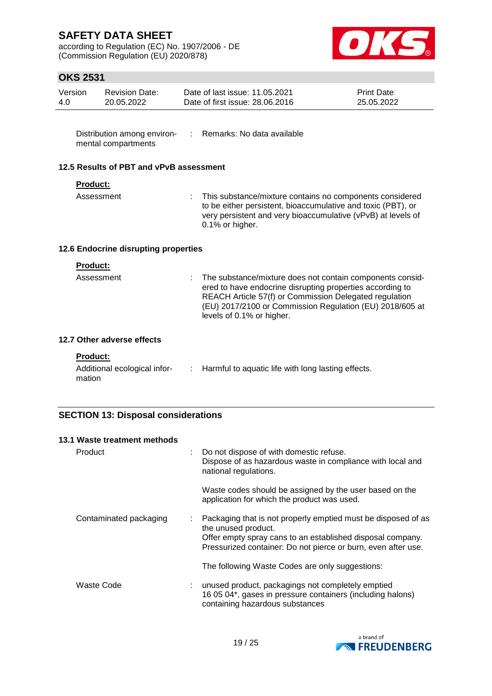according to Regulation (EC) No. 1907/2006 - DE (Commission Regulation (EU) 2020/878)



## **OKS 2531**

| Version | Revision Date: | Date of last issue: 11.05.2021  | <b>Print Date:</b> |
|---------|----------------|---------------------------------|--------------------|
| 4.0     | 20.05.2022     | Date of first issue: 28,06,2016 | 25.05.2022         |

Distribution among environ- : Remarks: No data available mental compartments

### **12.5 Results of PBT and vPvB assessment**

### **Product:**

Assessment : This substance/mixture contains no components considered to be either persistent, bioaccumulative and toxic (PBT), or very persistent and very bioaccumulative (vPvB) at levels of 0.1% or higher.

### **12.6 Endocrine disrupting properties**

| <b>Product:</b><br>Assessment | : The substance/mixture does not contain components consid-                                                         |
|-------------------------------|---------------------------------------------------------------------------------------------------------------------|
|                               | ered to have endocrine disrupting properties according to<br>REACH Article 57(f) or Commission Delegated regulation |
|                               | (EU) 2017/2100 or Commission Regulation (EU) 2018/605 at<br>levels of 0.1% or higher.                               |
| 7 Other adverse effects       |                                                                                                                     |

# **12.7 Other adverse effects**

|  | <b>Product:</b> |
|--|-----------------|
|  |                 |

| Additional ecological infor- | : Harmful to aquatic life with long lasting effects. |
|------------------------------|------------------------------------------------------|
| mation                       |                                                      |

### **SECTION 13: Disposal considerations**

| 13.1 Waste treatment methods |                                                                                                                                                                                                                     |
|------------------------------|---------------------------------------------------------------------------------------------------------------------------------------------------------------------------------------------------------------------|
| Product                      | Do not dispose of with domestic refuse.<br>÷<br>Dispose of as hazardous waste in compliance with local and<br>national regulations.                                                                                 |
|                              | Waste codes should be assigned by the user based on the<br>application for which the product was used.                                                                                                              |
| Contaminated packaging       | Packaging that is not properly emptied must be disposed of as<br>the unused product.<br>Offer empty spray cans to an established disposal company.<br>Pressurized container: Do not pierce or burn, even after use. |
|                              | The following Waste Codes are only suggestions:                                                                                                                                                                     |
| Waste Code                   | unused product, packagings not completely emptied<br>÷<br>16 05 04*, gases in pressure containers (including halons)<br>containing hazardous substances                                                             |

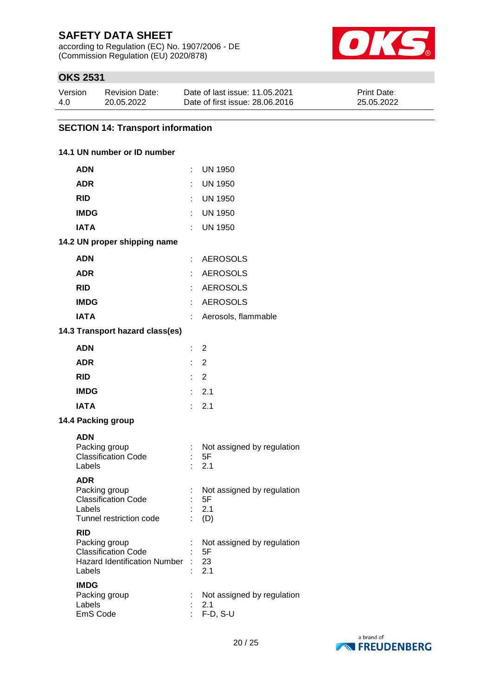according to Regulation (EC) No. 1907/2006 - DE (Commission Regulation (EU) 2020/878)



## **OKS 2531**

| Version | <b>Revision Date:</b> | Date of last issue: 11.05.2021  | <b>Print Date:</b> |
|---------|-----------------------|---------------------------------|--------------------|
| 4.0     | 20.05.2022            | Date of first issue: 28,06,2016 | 25.05.2022         |

## **SECTION 14: Transport information**

### **14.1 UN number or ID number**

| <b>ADN</b>                                    | ÷                         | <b>UN 1950</b>                   |
|-----------------------------------------------|---------------------------|----------------------------------|
| <b>ADR</b>                                    |                           | <b>UN 1950</b>                   |
| <b>RID</b>                                    |                           | : UN 1950                        |
| <b>IMDG</b>                                   |                           | UN 1950                          |
| <b>IATA</b>                                   |                           | <b>UN 1950</b>                   |
| 14.2 UN proper shipping name                  |                           |                                  |
| <b>ADN</b>                                    |                           | : AEROSOLS                       |
| <b>ADR</b>                                    |                           | <b>AEROSOLS</b>                  |
| <b>RID</b>                                    |                           | : AEROSOLS                       |
| <b>IMDG</b>                                   | ÷                         | <b>AEROSOLS</b>                  |
| <b>IATA</b>                                   | ÷                         | Aerosols, flammable              |
| 14.3 Transport hazard class(es)               |                           |                                  |
| <b>ADN</b>                                    | $\mathbb{R}^{\mathbb{Z}}$ | 2                                |
| <b>ADR</b>                                    |                           | $\therefore$ 2                   |
| <b>RID</b>                                    | t.                        | 2                                |
| <b>IMDG</b>                                   | t.                        | 2.1                              |
| <b>IATA</b>                                   | t.                        | 2.1                              |
| 14.4 Packing group                            |                           |                                  |
| <b>ADN</b>                                    |                           |                                  |
| Packing group<br><b>Classification Code</b>   | ÷                         | Not assigned by regulation<br>5F |
| Labels                                        |                           | 2.1                              |
| <b>ADR</b>                                    |                           |                                  |
| Packing group<br><b>Classification Code</b>   |                           | Not assigned by regulation<br>5F |
| Labels                                        |                           | 2.1                              |
| Tunnel restriction code                       |                           | (D)                              |
| <b>RID</b><br>Packing group                   |                           | Not assigned by regulation       |
| <b>Classification Code</b>                    |                           | 5F                               |
| <b>Hazard Identification Number</b><br>Labels |                           | 23<br>2.1                        |
| <b>IMDG</b>                                   |                           |                                  |
| Packing group<br>Labels                       |                           | Not assigned by regulation       |
| EmS Code                                      |                           | 2.1<br>F-D, S-U                  |
|                                               |                           |                                  |

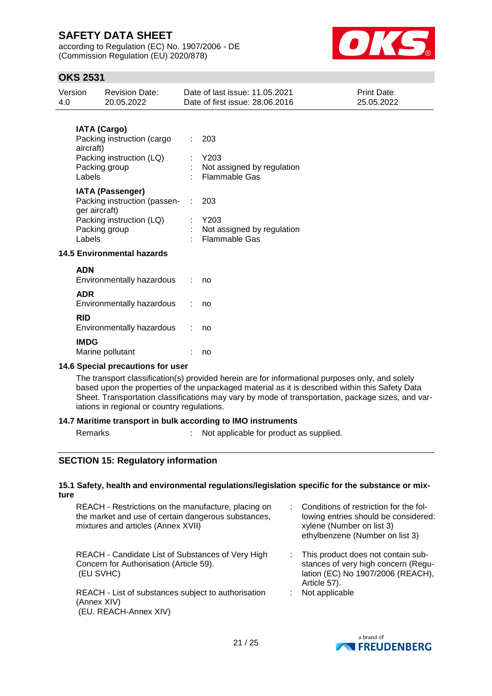according to Regulation (EC) No. 1907/2006 - DE (Commission Regulation (EU) 2020/878)



## **OKS 2531**

| Version<br>4.0 | <b>Revision Date:</b><br>20.05.2022                                      |    | Date of last issue: 11.05.2021<br>Date of first issue: 28.06.2016 | Print Date:<br>25.05.2022 |
|----------------|--------------------------------------------------------------------------|----|-------------------------------------------------------------------|---------------------------|
|                | <b>IATA (Cargo)</b>                                                      |    |                                                                   |                           |
| aircraft)      | Packing instruction (cargo                                               | t. | 203                                                               |                           |
|                | Packing instruction (LQ)<br>Packing group<br>Labels                      |    | Y203<br>Not assigned by regulation<br><b>Flammable Gas</b>        |                           |
|                | <b>IATA (Passenger)</b><br>Packing instruction (passen-<br>ger aircraft) |    | 203                                                               |                           |
| Labels         | Packing instruction (LQ)<br>Packing group                                |    | Y203<br>Not assigned by regulation<br><b>Flammable Gas</b>        |                           |
|                | <b>14.5 Environmental hazards</b>                                        |    |                                                                   |                           |
| <b>ADN</b>     | Environmentally hazardous                                                |    | no                                                                |                           |
| <b>ADR</b>     | Environmentally hazardous                                                |    | no                                                                |                           |
| <b>RID</b>     | Environmentally hazardous                                                |    | no                                                                |                           |
| <b>IMDG</b>    | Marine pollutant                                                         |    | no                                                                |                           |

### **14.6 Special precautions for user**

The transport classification(s) provided herein are for informational purposes only, and solely based upon the properties of the unpackaged material as it is described within this Safety Data Sheet. Transportation classifications may vary by mode of transportation, package sizes, and variations in regional or country regulations.

### **14.7 Maritime transport in bulk according to IMO instruments**

Remarks : Not applicable for product as supplied.

## **SECTION 15: Regulatory information**

### **15.1 Safety, health and environmental regulations/legislation specific for the substance or mixture**

REACH - Restrictions on the manufacture, placing on the market and use of certain dangerous substances, mixtures and articles (Annex XVII)

REACH - Candidate List of Substances of Very High Concern for Authorisation (Article 59). (EU SVHC)

REACH - List of substances subject to authorisation (Annex XIV) (EU. REACH-Annex XIV)

- : Conditions of restriction for the following entries should be considered: xylene (Number on list 3) ethylbenzene (Number on list 3)
- : This product does not contain substances of very high concern (Regulation (EC) No 1907/2006 (REACH), Article 57).
- : Not applicable

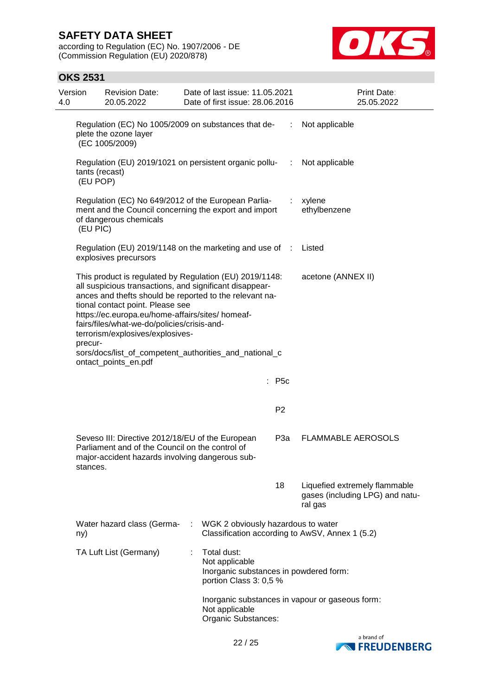according to Regulation (EC) No. 1907/2006 - DE (Commission Regulation (EU) 2020/878)



| Version<br>4.0 | <b>Revision Date:</b><br>20.05.2022                                                                                                                                                                                                                                                                                                                                                                                                        |   | Date of last issue: 11.05.2021<br>Date of first issue: 28.06.2016                                 |                | Print Date:<br>25.05.2022                                                   |  |
|----------------|--------------------------------------------------------------------------------------------------------------------------------------------------------------------------------------------------------------------------------------------------------------------------------------------------------------------------------------------------------------------------------------------------------------------------------------------|---|---------------------------------------------------------------------------------------------------|----------------|-----------------------------------------------------------------------------|--|
|                | Regulation (EC) No 1005/2009 on substances that de-<br>plete the ozone layer<br>(EC 1005/2009)                                                                                                                                                                                                                                                                                                                                             | ÷ | Not applicable                                                                                    |                |                                                                             |  |
|                | Regulation (EU) 2019/1021 on persistent organic pollu-<br>tants (recast)<br>(EU POP)                                                                                                                                                                                                                                                                                                                                                       |   |                                                                                                   | $\sim 100$     | Not applicable                                                              |  |
| (EU PIC)       | Regulation (EC) No 649/2012 of the European Parlia-<br>ment and the Council concerning the export and import<br>of dangerous chemicals                                                                                                                                                                                                                                                                                                     |   |                                                                                                   |                | xylene<br>ethylbenzene                                                      |  |
|                | Regulation (EU) 2019/1148 on the marketing and use of :<br>explosives precursors                                                                                                                                                                                                                                                                                                                                                           |   |                                                                                                   |                | Listed                                                                      |  |
| precur-        | This product is regulated by Regulation (EU) 2019/1148:<br>all suspicious transactions, and significant disappear-<br>ances and thefts should be reported to the relevant na-<br>tional contact point. Please see<br>https://ec.europa.eu/home-affairs/sites/ homeaf-<br>fairs/files/what-we-do/policies/crisis-and-<br>terrorism/explosives/explosives-<br>sors/docs/list_of_competent_authorities_and_national_c<br>ontact_points_en.pdf |   | acetone (ANNEX II)                                                                                |                |                                                                             |  |
|                |                                                                                                                                                                                                                                                                                                                                                                                                                                            |   |                                                                                                   | : P5c          |                                                                             |  |
|                |                                                                                                                                                                                                                                                                                                                                                                                                                                            |   |                                                                                                   | P <sub>2</sub> |                                                                             |  |
|                | Seveso III: Directive 2012/18/EU of the European<br>P <sub>3</sub> a<br>Parliament and of the Council on the control of<br>major-accident hazards involving dangerous sub-<br>stances.                                                                                                                                                                                                                                                     |   |                                                                                                   |                | <b>FLAMMABLE AEROSOLS</b>                                                   |  |
|                |                                                                                                                                                                                                                                                                                                                                                                                                                                            |   |                                                                                                   | 18             | Liquefied extremely flammable<br>gases (including LPG) and natu-<br>ral gas |  |
| ny)            | Water hazard class (Germa-                                                                                                                                                                                                                                                                                                                                                                                                                 |   | WGK 2 obviously hazardous to water                                                                |                | Classification according to AwSV, Annex 1 (5.2)                             |  |
|                | TA Luft List (Germany)                                                                                                                                                                                                                                                                                                                                                                                                                     |   | Total dust:<br>Not applicable<br>Inorganic substances in powdered form:<br>portion Class 3: 0,5 % |                |                                                                             |  |
|                |                                                                                                                                                                                                                                                                                                                                                                                                                                            |   | Not applicable<br>Organic Substances:                                                             |                | Inorganic substances in vapour or gaseous form:                             |  |

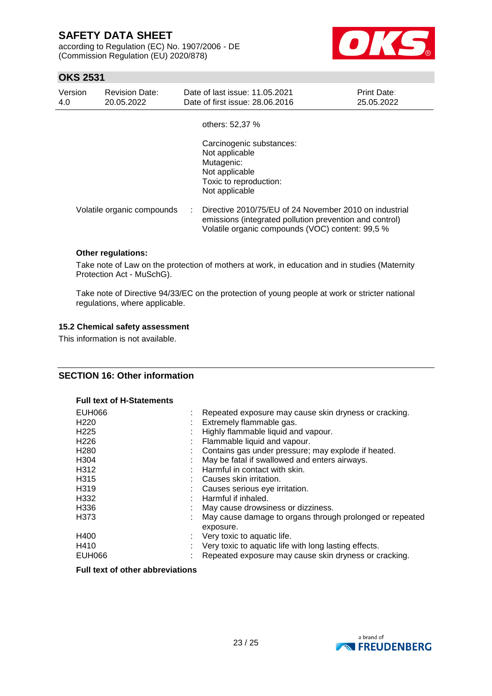according to Regulation (EC) No. 1907/2006 - DE (Commission Regulation (EU) 2020/878)



## **OKS 2531**

| Version<br>4.0 | <b>Revision Date:</b><br>20.05.2022 | Date of last issue: 11.05.2021<br>Date of first issue: 28,06,2016                                                                                                     | <b>Print Date:</b><br>25.05.2022 |
|----------------|-------------------------------------|-----------------------------------------------------------------------------------------------------------------------------------------------------------------------|----------------------------------|
|                |                                     | others: 52,37 %                                                                                                                                                       |                                  |
|                |                                     | Carcinogenic substances:<br>Not applicable<br>Mutagenic:<br>Not applicable<br>Toxic to reproduction:<br>Not applicable                                                |                                  |
|                | Volatile organic compounds          | Directive 2010/75/EU of 24 November 2010 on industrial<br>emissions (integrated pollution prevention and control)<br>Volatile organic compounds (VOC) content: 99,5 % |                                  |

### **Other regulations:**

Take note of Law on the protection of mothers at work, in education and in studies (Maternity Protection Act - MuSchG).

Take note of Directive 94/33/EC on the protection of young people at work or stricter national regulations, where applicable.

### **15.2 Chemical safety assessment**

This information is not available.

### **SECTION 16: Other information**

### **Full text of H-Statements**

| EUH066           | Repeated exposure may cause skin dryness or cracking.                 |
|------------------|-----------------------------------------------------------------------|
| H <sub>220</sub> | Extremely flammable gas.                                              |
| H <sub>225</sub> | Highly flammable liquid and vapour.                                   |
| H <sub>226</sub> | Flammable liquid and vapour.                                          |
| H <sub>280</sub> | Contains gas under pressure; may explode if heated.                   |
| H304             | May be fatal if swallowed and enters airways.                         |
| H312             | Harmful in contact with skin.                                         |
| H <sub>315</sub> | Causes skin irritation.                                               |
| H319             | Causes serious eye irritation.                                        |
| H332             | Harmful if inhaled.                                                   |
| H336             | May cause drowsiness or dizziness.                                    |
| H373             | May cause damage to organs through prolonged or repeated<br>exposure. |
| H400             | Very toxic to aquatic life.                                           |
| H410             | Very toxic to aquatic life with long lasting effects.                 |
| <b>EUH066</b>    | Repeated exposure may cause skin dryness or cracking.                 |

### **Full text of other abbreviations**

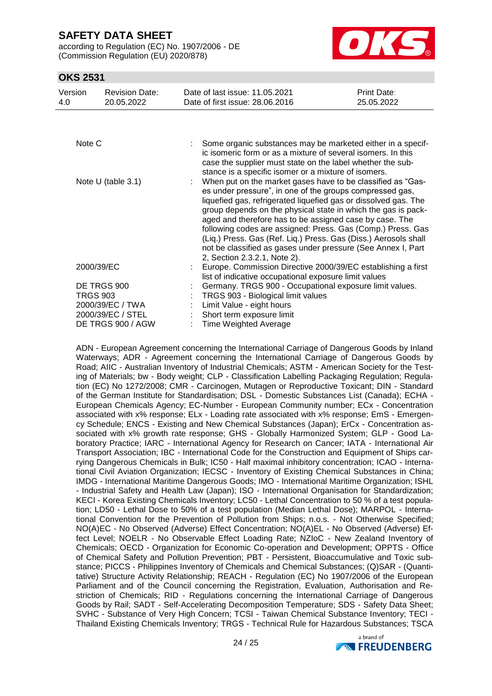according to Regulation (EC) No. 1907/2006 - DE (Commission Regulation (EU) 2020/878)



## **OKS 2531**

| Version<br>4.0  | <b>Revision Date:</b><br>20.05.2022 | Date of last issue: 11.05.2021<br>Date of first issue: 28,06,2016                                                                                                                                                                                                                                                                                                                                                                                                                                                                                        | Print Date:<br>25.05.2022 |
|-----------------|-------------------------------------|----------------------------------------------------------------------------------------------------------------------------------------------------------------------------------------------------------------------------------------------------------------------------------------------------------------------------------------------------------------------------------------------------------------------------------------------------------------------------------------------------------------------------------------------------------|---------------------------|
|                 |                                     |                                                                                                                                                                                                                                                                                                                                                                                                                                                                                                                                                          |                           |
| Note C          |                                     | Some organic substances may be marketed either in a specif-<br>ic isomeric form or as a mixture of several isomers. In this<br>case the supplier must state on the label whether the sub-<br>stance is a specific isomer or a mixture of isomers.                                                                                                                                                                                                                                                                                                        |                           |
|                 | Note U (table 3.1)                  | When put on the market gases have to be classified as "Gas-<br>es under pressure", in one of the groups compressed gas,<br>liquefied gas, refrigerated liquefied gas or dissolved gas. The<br>group depends on the physical state in which the gas is pack-<br>aged and therefore has to be assigned case by case. The<br>following codes are assigned: Press. Gas (Comp.) Press. Gas<br>(Liq.) Press. Gas (Ref. Liq.) Press. Gas (Diss.) Aerosols shall<br>not be classified as gases under pressure (See Annex I, Part<br>2, Section 2.3.2.1, Note 2). |                           |
| 2000/39/EC      |                                     | Europe. Commission Directive 2000/39/EC establishing a first<br>list of indicative occupational exposure limit values                                                                                                                                                                                                                                                                                                                                                                                                                                    |                           |
|                 | DE TRGS 900                         | Germany. TRGS 900 - Occupational exposure limit values.                                                                                                                                                                                                                                                                                                                                                                                                                                                                                                  |                           |
| <b>TRGS 903</b> |                                     | TRGS 903 - Biological limit values                                                                                                                                                                                                                                                                                                                                                                                                                                                                                                                       |                           |
|                 | 2000/39/EC / TWA                    | Limit Value - eight hours                                                                                                                                                                                                                                                                                                                                                                                                                                                                                                                                |                           |
|                 | 2000/39/EC / STEL                   | Short term exposure limit                                                                                                                                                                                                                                                                                                                                                                                                                                                                                                                                |                           |
|                 | DE TRGS 900 / AGW                   | <b>Time Weighted Average</b>                                                                                                                                                                                                                                                                                                                                                                                                                                                                                                                             |                           |

ADN - European Agreement concerning the International Carriage of Dangerous Goods by Inland Waterways; ADR - Agreement concerning the International Carriage of Dangerous Goods by Road; AIIC - Australian Inventory of Industrial Chemicals; ASTM - American Society for the Testing of Materials; bw - Body weight; CLP - Classification Labelling Packaging Regulation; Regulation (EC) No 1272/2008; CMR - Carcinogen, Mutagen or Reproductive Toxicant; DIN - Standard of the German Institute for Standardisation; DSL - Domestic Substances List (Canada); ECHA - European Chemicals Agency; EC-Number - European Community number; ECx - Concentration associated with x% response; ELx - Loading rate associated with x% response; EmS - Emergency Schedule; ENCS - Existing and New Chemical Substances (Japan); ErCx - Concentration associated with x% growth rate response; GHS - Globally Harmonized System; GLP - Good Laboratory Practice; IARC - International Agency for Research on Cancer; IATA - International Air Transport Association; IBC - International Code for the Construction and Equipment of Ships carrying Dangerous Chemicals in Bulk; IC50 - Half maximal inhibitory concentration; ICAO - International Civil Aviation Organization; IECSC - Inventory of Existing Chemical Substances in China; IMDG - International Maritime Dangerous Goods; IMO - International Maritime Organization; ISHL - Industrial Safety and Health Law (Japan); ISO - International Organisation for Standardization; KECI - Korea Existing Chemicals Inventory; LC50 - Lethal Concentration to 50 % of a test population; LD50 - Lethal Dose to 50% of a test population (Median Lethal Dose); MARPOL - International Convention for the Prevention of Pollution from Ships; n.o.s. - Not Otherwise Specified; NO(A)EC - No Observed (Adverse) Effect Concentration; NO(A)EL - No Observed (Adverse) Effect Level; NOELR - No Observable Effect Loading Rate; NZIoC - New Zealand Inventory of Chemicals; OECD - Organization for Economic Co-operation and Development; OPPTS - Office of Chemical Safety and Pollution Prevention; PBT - Persistent, Bioaccumulative and Toxic substance; PICCS - Philippines Inventory of Chemicals and Chemical Substances; (Q)SAR - (Quantitative) Structure Activity Relationship; REACH - Regulation (EC) No 1907/2006 of the European Parliament and of the Council concerning the Registration, Evaluation, Authorisation and Restriction of Chemicals; RID - Regulations concerning the International Carriage of Dangerous Goods by Rail; SADT - Self-Accelerating Decomposition Temperature; SDS - Safety Data Sheet; SVHC - Substance of Very High Concern; TCSI - Taiwan Chemical Substance Inventory; TECI - Thailand Existing Chemicals Inventory; TRGS - Technical Rule for Hazardous Substances; TSCA